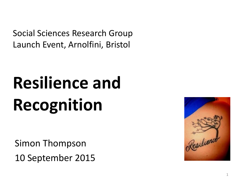Social Sciences Research Group Launch Event, Arnolfini, Bristol

# **Resilience and Recognition**

Simon Thompson 10 September 2015

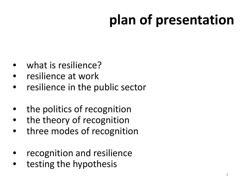# **plan of presentation**

- what is resilience?
- resilience at work
- resilience in the public sector
- the politics of recognition
- the theory of recognition
- three modes of recognition
- recognition and resilience
- testing the hypothesis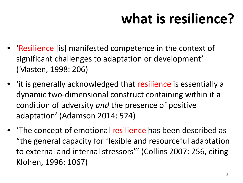## **what is resilience?**

- 'Resilience [is] manifested competence in the context of significant challenges to adaptation or development' (Masten, 1998: 206)
- 'it is generally acknowledged that resilience is essentially a dynamic two-dimensional construct containing within it a condition of adversity *and* the presence of positive adaptation' (Adamson 2014: 524)
- 'The concept of emotional resilience has been described as "the general capacity for flexible and resourceful adaptation to external and internal stressors"' (Collins 2007: 256, citing Klohen, 1996: 1067)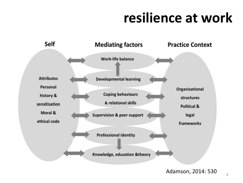### **resilience at work**

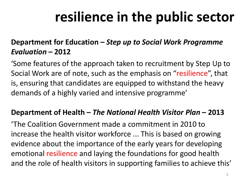### **resilience in the public sector**

#### **Department for Education –** *Step up to Social Work Programme Evaluation* **– 2012**

'Some features of the approach taken to recruitment by Step Up to Social Work are of note, such as the emphasis on "resilience", that is, ensuring that candidates are equipped to withstand the heavy demands of a highly varied and intensive programme'

#### **Department of Health –** *The National Health Visitor Plan* **– 2013**

'The Coalition Government made a commitment in 2010 to increase the health visitor workforce ... This is based on growing evidence about the importance of the early years for developing emotional resilience and laying the foundations for good health and the role of health visitors in supporting families to achieve this'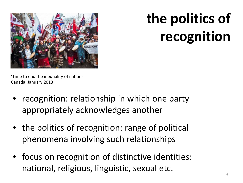

# **the politics of recognition**

'Time to end the inequality of nations' Canada, January 2013

- recognition: relationship in which one party appropriately acknowledges another
- the politics of recognition: range of political phenomena involving such relationships
- focus on recognition of distinctive identities: national, religious, linguistic, sexual etc.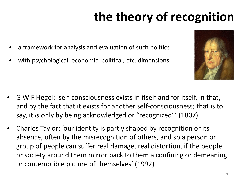### **the theory of recognition**

- a framework for analysis and evaluation of such politics
- with psychological, economic, political, etc. dimensions



- G W F Hegel: 'self-consciousness exists in itself and for itself, in that, and by the fact that it exists for another self-consciousness; that is to say, it *is* only by being acknowledged or "recognized"' (1807)
- Charles Taylor: 'our identity is partly shaped by recognition or its absence, often by the misrecognition of others, and so a person or group of people can suffer real damage, real distortion, if the people or society around them mirror back to them a confining or demeaning or contemptible picture of themselves' (1992)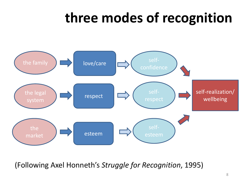### **three modes of recognition**



(Following Axel Honneth's *Struggle for Recognition*, 1995)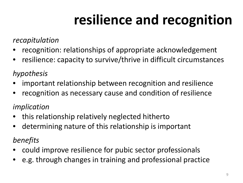## **resilience and recognition**

#### *recapitulation*

- recognition: relationships of appropriate acknowledgement
- resilience: capacity to survive/thrive in difficult circumstances

### *hypothesis*

- important relationship between recognition and resilience
- recognition as necessary cause and condition of resilience

### *implication*

- this relationship relatively neglected hitherto
- determining nature of this relationship is important

### *benefits*

- could improve resilience for pubic sector professionals
- e.g. through changes in training and professional practice